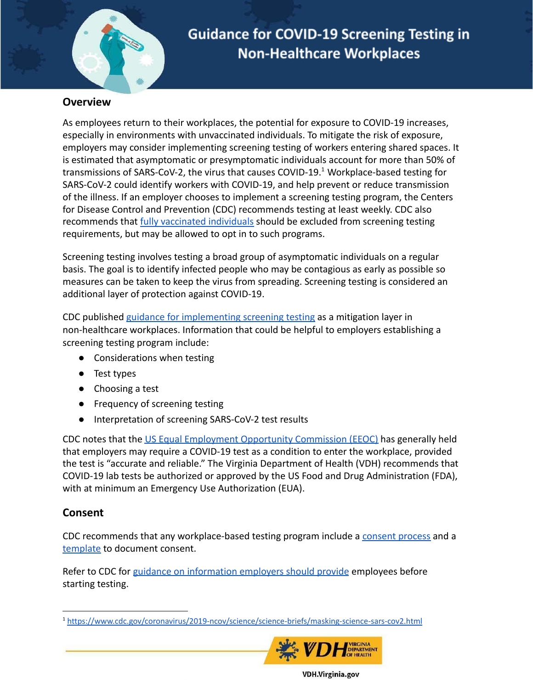

## **Overview**

As employees return to their workplaces, the potential for exposure to COVID-19 increases, especially in environments with unvaccinated individuals. To mitigate the risk of exposure, employers may consider implementing screening testing of workers entering shared spaces. It is estimated that asymptomatic or presymptomatic individuals account for more than 50% of transmissions of SARS-CoV-2, the virus that causes COVID-19.<sup>1</sup> Workplace-based testing for SARS-CoV-2 could identify workers with COVID-19, and help prevent or reduce transmission of the illness. If an employer chooses to implement a screening testing program, the Centers for Disease Control and Prevention (CDC) recommends testing at least weekly. CDC also recommends that [fully vaccinated individuals](https://www.cdc.gov/coronavirus/2019-ncov/vaccines/fully-vaccinated.html#vaccinated) should be excluded from screening testing requirements, but may be allowed to opt in to such programs.

Screening testing involves testing a broad group of asymptomatic individuals on a regular basis. The goal is to identify infected people who may be contagious as early as possible so measures can be taken to keep the virus from spreading. Screening testing is considered an additional layer of protection against COVID-19.

CDC published [guidance for implementing screening](https://www.cdc.gov/coronavirus/2019-ncov/community/organizations/testing-non-healthcare-workplaces.html) testing as a mitigation layer in non-healthcare workplaces. Information that could be helpful to employers establishing a screening testing program include:

- **●** Considerations when testing
- **●** Test types
- **●** Choosing a test
- Frequency of screening testing
- Interpretation of screening SARS-CoV-2 test results

CDC notes that the [US Equal Employment Opportunity](https://www.eeoc.gov/wysk/what-you-should-know-about-covid-19-and-ada-rehabilitation-act-and-other-eeo-laws) Commission (EEOC) has generally held that employers may require a COVID-19 test as a condition to enter the workplace, provided the test is "accurate and reliable." The Virginia Department of Health (VDH) recommends that COVID-19 lab tests be authorized or approved by the US Food and Drug Administration (FDA), with at minimum an Emergency Use Authorization (EUA).

# **Consent**

Updated 8/4/2021 and 8/4/2021

CDC recommends that any workplace-based testing program include a [consent process](https://www.cdc.gov/coronavirus/2019-ncov/community/workplaces-businesses/workplace-testing-consent-elements-disclosures.html) and a [template](https://www.cdc.gov/coronavirus/2019-ncov/community/workplaces-businesses/workplace-testing-consent-elements-disclosures.html) to document consent.

Refer to CDC for [guidance on information employers](https://www.cdc.gov/coronavirus/2019-ncov/community/organizations/testing-non-healthcare-workplaces.html) should provide employees before starting testing.

<sup>1</sup> <https://www.cdc.gov/coronavirus/2019-ncov/science/science-briefs/masking-science-sars-cov2.html>



**VDH.Virginia.gov**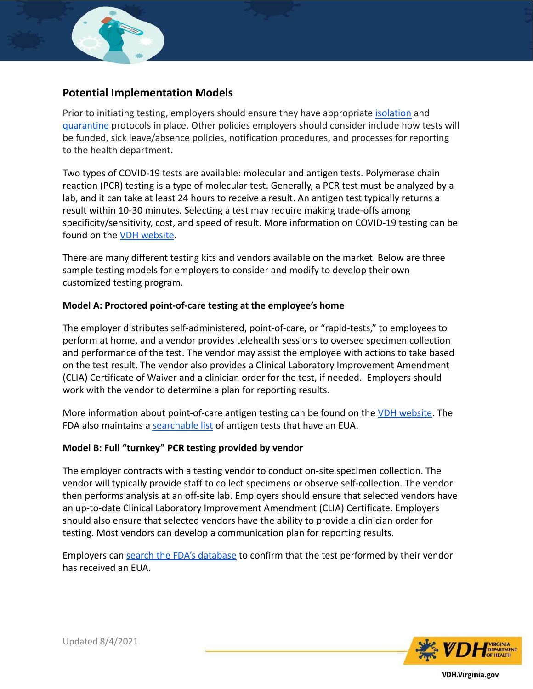

## **Potential Implementation Models**

Prior to initiating testing, employers should ensure they have appropriate [isolation](https://www.vdh.virginia.gov/content/uploads/sites/182/2020/04/Home-IsolationQuarantine-Release-Graphic_FINAL.pdf) and [quarantine](https://www.vdh.virginia.gov/coronavirus/local-exposure/) protocols in place. Other policies employers should consider include how tests will be funded, sick leave/absence policies, notification procedures, and processes for reporting to the health department.

Two types of COVID-19 tests are available: molecular and antigen tests. Polymerase chain reaction (PCR) testing is a type of molecular test. Generally, a PCR test must be analyzed by a lab, and it can take at least 24 hours to receive a result. An antigen test typically returns a result within 10-30 minutes. Selecting a test may require making trade-offs among specificity/sensitivity, cost, and speed of result. More information on COVID-19 testing can be found on the [VDH website](https://www.vdh.virginia.gov/coronavirus/covid-19-testing/).

There are many different testing kits and vendors available on the market. Below are three sample testing models for employers to consider and modify to develop their own customized testing program.

#### **Model A: Proctored point-of-care testing at the employee's home**

The employer distributes self-administered, point-of-care, or "rapid-tests," to employees to perform at home, and a vendor provides telehealth sessions to oversee specimen collection and performance of the test. The vendor may assist the employee with actions to take based on the test result. The vendor also provides a Clinical Laboratory Improvement Amendment (CLIA) Certificate of Waiver and a clinician order for the test, if needed. Employers should work with the vendor to determine a plan for reporting results.

More information about point-of-care antigen testing can be found on the [VDH website.](https://www.vdh.virginia.gov/coronavirus/antigen-testing-recommendations/#poc-ag-tests) The FDA also maintains a [searchable list](https://www.fda.gov/medical-devices/coronavirus-disease-2019-covid-19-emergency-use-authorizations-medical-devices/in-vitro-diagnostics-euas-antigen-diagnostic-tests-sars-cov-2) of antigen tests that have an EUA.

### **Model B: Full "turnkey" PCR testing provided by vendor**

The employer contracts with a testing vendor to conduct on-site specimen collection. The vendor will typically provide staff to collect specimens or observe self-collection. The vendor then performs analysis at an off-site lab. Employers should ensure that selected vendors have an up-to-date Clinical Laboratory Improvement Amendment (CLIA) Certificate. Employers should also ensure that selected vendors have the ability to provide a clinician order for testing. Most vendors can develop a communication plan for reporting results.

Employers can [search the FDA's database](https://www.fda.gov/medical-devices/coronavirus-disease-2019-covid-19-emergency-use-authorizations-medical-devices/in-vitro-diagnostics-euas-molecular-diagnostic-tests-sars-cov-2#individual-molecular) to confirm that the test performed by their vendor has received an EUA.



Updated 8/4/2021

**VDH.Virginia.gov**